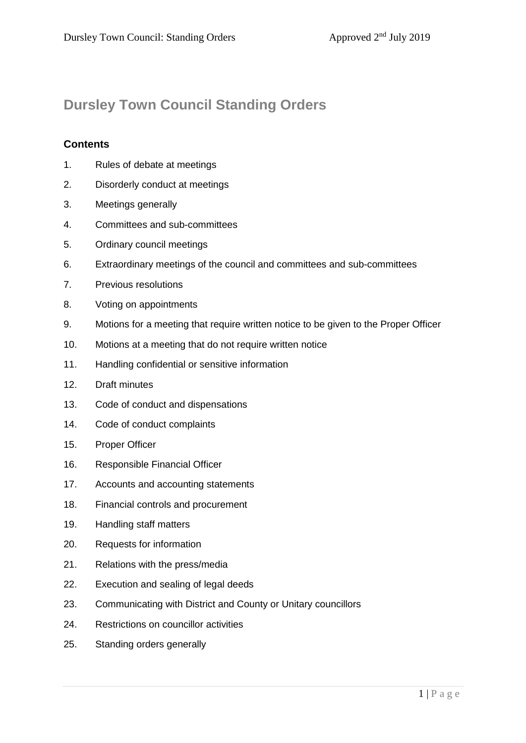# **Dursley Town Council Standing Orders**

### **Contents**

- 1. Rules of debate at meetings
- 2. Disorderly conduct at meetings
- 3. Meetings generally
- 4. Committees and sub-committees
- 5. Ordinary council meetings
- 6. Extraordinary meetings of the council and committees and sub-committees
- 7. Previous resolutions
- 8. Voting on appointments
- 9. Motions for a meeting that require written notice to be given to the Proper Officer
- 10. Motions at a meeting that do not require written notice
- 11. Handling confidential or sensitive information
- 12. Draft minutes
- 13. Code of conduct and dispensations
- 14. Code of conduct complaints
- 15. Proper Officer
- 16. Responsible Financial Officer
- 17. Accounts and accounting statements
- 18. Financial controls and procurement
- 19. Handling staff matters
- 20. Requests for information
- 21. Relations with the press/media
- 22. Execution and sealing of legal deeds
- 23. Communicating with District and County or Unitary councillors
- 24. Restrictions on councillor activities
- 25. Standing orders generally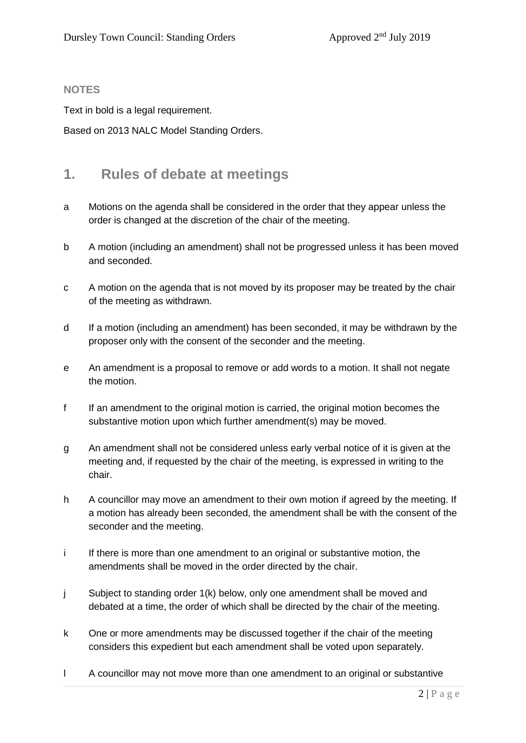#### **NOTES**

Text in bold is a legal requirement.

Based on 2013 NALC Model Standing Orders.

### **1. Rules of debate at meetings**

- a Motions on the agenda shall be considered in the order that they appear unless the order is changed at the discretion of the chair of the meeting.
- b A motion (including an amendment) shall not be progressed unless it has been moved and seconded.
- c A motion on the agenda that is not moved by its proposer may be treated by the chair of the meeting as withdrawn.
- d If a motion (including an amendment) has been seconded, it may be withdrawn by the proposer only with the consent of the seconder and the meeting.
- e An amendment is a proposal to remove or add words to a motion. It shall not negate the motion.
- f If an amendment to the original motion is carried, the original motion becomes the substantive motion upon which further amendment(s) may be moved.
- g An amendment shall not be considered unless early verbal notice of it is given at the meeting and, if requested by the chair of the meeting, is expressed in writing to the chair.
- h A councillor may move an amendment to their own motion if agreed by the meeting. If a motion has already been seconded, the amendment shall be with the consent of the seconder and the meeting.
- i If there is more than one amendment to an original or substantive motion, the amendments shall be moved in the order directed by the chair.
- j Subject to standing order 1(k) below, only one amendment shall be moved and debated at a time, the order of which shall be directed by the chair of the meeting.
- k One or more amendments may be discussed together if the chair of the meeting considers this expedient but each amendment shall be voted upon separately.
- l A councillor may not move more than one amendment to an original or substantive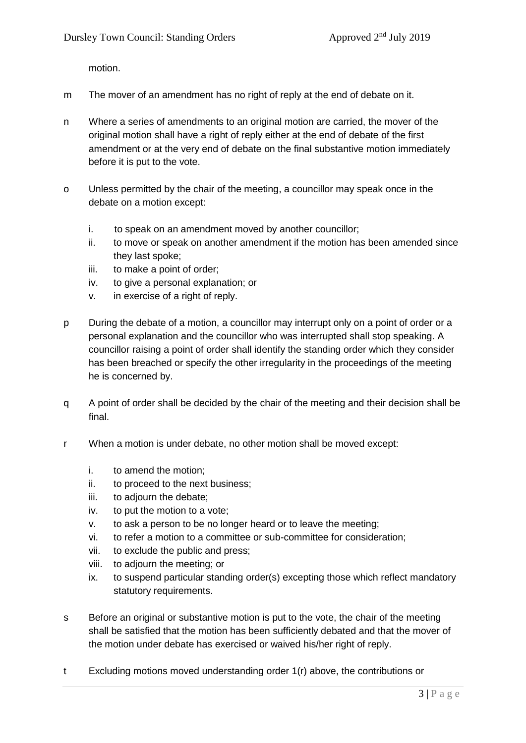motion.

- m The mover of an amendment has no right of reply at the end of debate on it.
- n Where a series of amendments to an original motion are carried, the mover of the original motion shall have a right of reply either at the end of debate of the first amendment or at the very end of debate on the final substantive motion immediately before it is put to the vote.
- o Unless permitted by the chair of the meeting, a councillor may speak once in the debate on a motion except:
	- i. to speak on an amendment moved by another councillor;
	- ii. to move or speak on another amendment if the motion has been amended since they last spoke;
	- iii. to make a point of order;
	- iv. to give a personal explanation; or
	- v. in exercise of a right of reply.
- p During the debate of a motion, a councillor may interrupt only on a point of order or a personal explanation and the councillor who was interrupted shall stop speaking. A councillor raising a point of order shall identify the standing order which they consider has been breached or specify the other irregularity in the proceedings of the meeting he is concerned by.
- q A point of order shall be decided by the chair of the meeting and their decision shall be final.
- r When a motion is under debate, no other motion shall be moved except:
	- i. to amend the motion;
	- ii. to proceed to the next business;
	- iii. to adjourn the debate;
	- iv. to put the motion to a vote;
	- v. to ask a person to be no longer heard or to leave the meeting;
	- vi. to refer a motion to a committee or sub-committee for consideration;
	- vii. to exclude the public and press;
	- viii. to adjourn the meeting; or
	- ix. to suspend particular standing order(s) excepting those which reflect mandatory statutory requirements.
- s Before an original or substantive motion is put to the vote, the chair of the meeting shall be satisfied that the motion has been sufficiently debated and that the mover of the motion under debate has exercised or waived his/her right of reply.
- t Excluding motions moved understanding order 1(r) above, the contributions or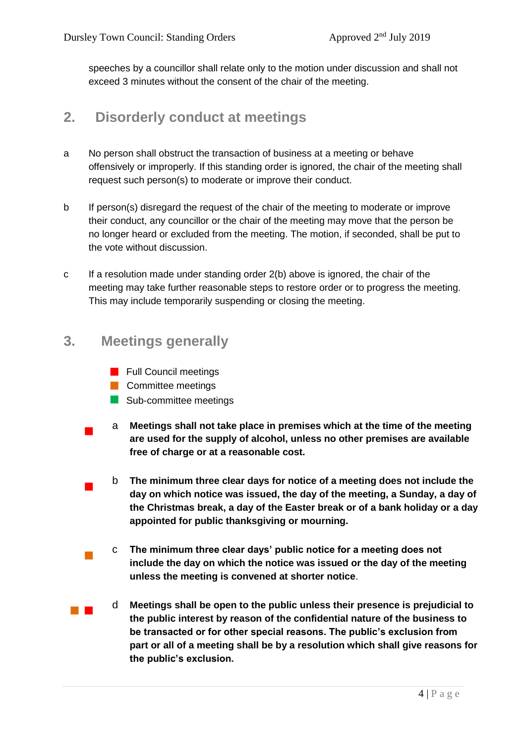speeches by a councillor shall relate only to the motion under discussion and shall not exceed 3 minutes without the consent of the chair of the meeting.

## **2. Disorderly conduct at meetings**

- a No person shall obstruct the transaction of business at a meeting or behave offensively or improperly. If this standing order is ignored, the chair of the meeting shall request such person(s) to moderate or improve their conduct.
- b If person(s) disregard the request of the chair of the meeting to moderate or improve their conduct, any councillor or the chair of the meeting may move that the person be no longer heard or excluded from the meeting. The motion, if seconded, shall be put to the vote without discussion.
- c If a resolution made under standing order 2(b) above is ignored, the chair of the meeting may take further reasonable steps to restore order or to progress the meeting. This may include temporarily suspending or closing the meeting.

## **3. Meetings generally**

- **Full Council meetings**
- Committee meetings
- Sub-committee meetings
- <sup>a</sup> **Meetings shall not take place in premises which at the time of the meeting are used for the supply of alcohol, unless no other premises are available free of charge or at a reasonable cost.** 
	- <sup>b</sup> **The minimum three clear days for notice of a meeting does not include the day on which notice was issued, the day of the meeting, a Sunday, a day of the Christmas break, a day of the Easter break or of a bank holiday or a day appointed for public thanksgiving or mourning.**
	- <sup>c</sup> **The minimum three clear days' public notice for a meeting does not include the day on which the notice was issued or the day of the meeting unless the meeting is convened at shorter notice**.
- <sup>d</sup> **Meetings shall be open to the public unless their presence is prejudicial to the public interest by reason of the confidential nature of the business to be transacted or for other special reasons. The public's exclusion from part or all of a meeting shall be by a resolution which shall give reasons for the public's exclusion.**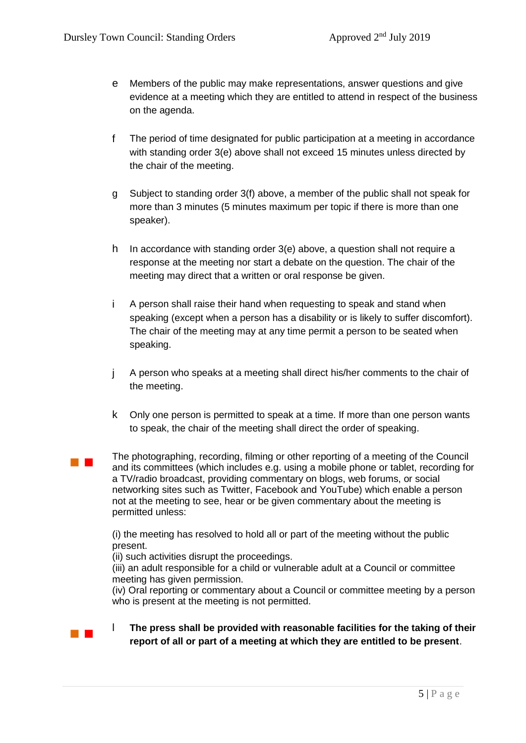- e Members of the public may make representations, answer questions and give evidence at a meeting which they are entitled to attend in respect of the business on the agenda.
- f The period of time designated for public participation at a meeting in accordance with standing order 3(e) above shall not exceed 15 minutes unless directed by the chair of the meeting.
- g Subject to standing order 3(f) above, a member of the public shall not speak for more than 3 minutes (5 minutes maximum per topic if there is more than one speaker).
- h In accordance with standing order 3(e) above, a question shall not require a response at the meeting nor start a debate on the question. The chair of the meeting may direct that a written or oral response be given.
- i A person shall raise their hand when requesting to speak and stand when speaking (except when a person has a disability or is likely to suffer discomfort). The chair of the meeting may at any time permit a person to be seated when speaking.
- j A person who speaks at a meeting shall direct his/her comments to the chair of the meeting.
- k Only one person is permitted to speak at a time. If more than one person wants to speak, the chair of the meeting shall direct the order of speaking.
- **The Contract** The photographing, recording, filming or other reporting of a meeting of the Council and its committees (which includes e.g. using a mobile phone or tablet, recording for a TV/radio broadcast, providing commentary on blogs, web forums, or social networking sites such as Twitter, Facebook and YouTube) which enable a person not at the meeting to see, hear or be given commentary about the meeting is permitted unless:

(i) the meeting has resolved to hold all or part of the meeting without the public present.

(ii) such activities disrupt the proceedings.

(iii) an adult responsible for a child or vulnerable adult at a Council or committee meeting has given permission.

(iv) Oral reporting or commentary about a Council or committee meeting by a person who is present at the meeting is not permitted.

**The press shall be provided with reasonable facilities for the taking of their report of all or part of a meeting at which they are entitled to be present**.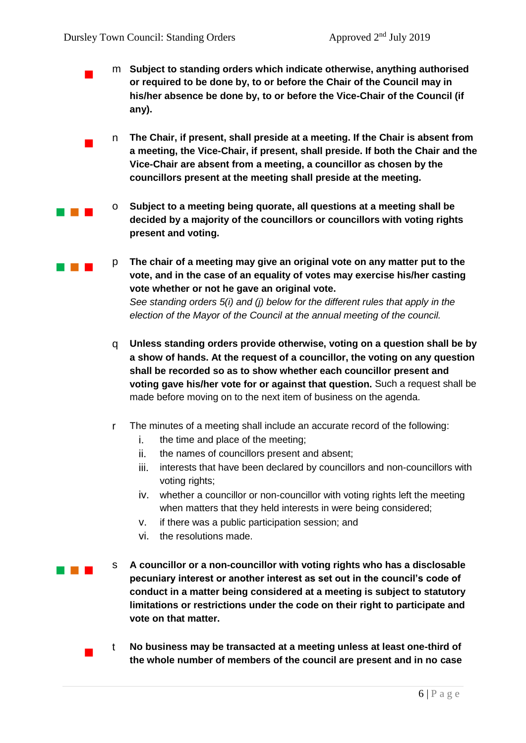- <sup>m</sup> **Subject to standing orders which indicate otherwise, anything authorised or required to be done by, to or before the Chair of the Council may in his/her absence be done by, to or before the Vice-Chair of the Council (if any).**
	- <sup>n</sup> **The Chair, if present, shall preside at a meeting. If the Chair is absent from a meeting, the Vice-Chair, if present, shall preside. If both the Chair and the Vice-Chair are absent from a meeting, a councillor as chosen by the councillors present at the meeting shall preside at the meeting.**
- **o** Subject to a meeting being quorate, all questions at a meeting shall be **decided by a majority of the councillors or councillors with voting rights present and voting.**
- **p The chair of a meeting may give an original vote on any matter put to the vote, and in the case of an equality of votes may exercise his/her casting vote whether or not he gave an original vote.** *See standing orders 5(i) and (j) below for the different rules that apply in the election of the Mayor of the Council at the annual meeting of the council.*
	- q **Unless standing orders provide otherwise, voting on a question shall be by a show of hands. At the request of a councillor, the voting on any question shall be recorded so as to show whether each councillor present and voting gave his/her vote for or against that question.** Such a request shall be made before moving on to the next item of business on the agenda.
	- r The minutes of a meeting shall include an accurate record of the following:
		- i. the time and place of the meeting;
		- ii. the names of councillors present and absent;
		- iii. interests that have been declared by councillors and non-councillors with voting rights;
		- iv. whether a councillor or non-councillor with voting rights left the meeting when matters that they held interests in were being considered;
		- v. if there was a public participation session; and
		- vi. the resolutions made.
- **A councillor or a non-councillor with voting rights who has a disclosable pecuniary interest or another interest as set out in the council's code of conduct in a matter being considered at a meeting is subject to statutory limitations or restrictions under the code on their right to participate and vote on that matter.**
	- <sup>t</sup> **No business may be transacted at a meeting unless at least one-third of the whole number of members of the council are present and in no case**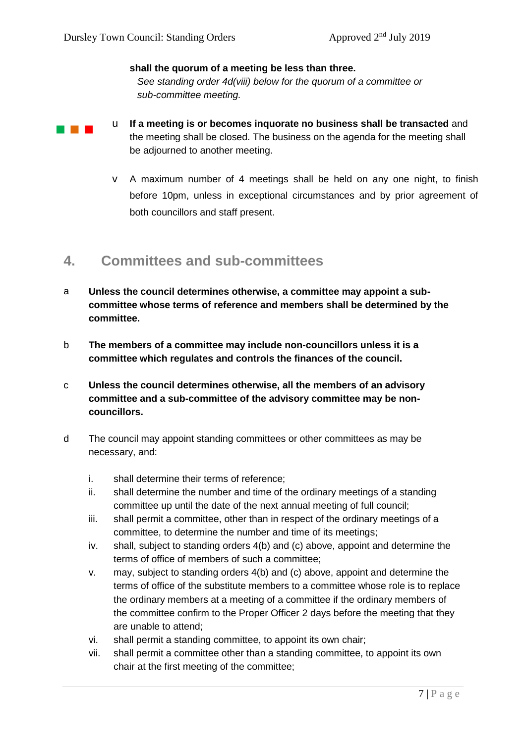#### **shall the quorum of a meeting be less than three.**

*See standing order 4d(viii) below for the quorum of a committee or sub-committee meeting.* 

- 
- **IF A BUDGE IF A MEET A MEET A MEET A MEET A MEET A MEET A MEET A MEET AND THE INCOLLET A MEET A MEET A MEET AND** the meeting shall be closed. The business on the agenda for the meeting shall be adjourned to another meeting.
	- v A maximum number of 4 meetings shall be held on any one night, to finish before 10pm, unless in exceptional circumstances and by prior agreement of both councillors and staff present.

### **4. Committees and sub-committees**

- a **Unless the council determines otherwise, a committee may appoint a subcommittee whose terms of reference and members shall be determined by the committee.**
- b **The members of a committee may include non-councillors unless it is a committee which regulates and controls the finances of the council.**
- c **Unless the council determines otherwise, all the members of an advisory committee and a sub-committee of the advisory committee may be noncouncillors.**
- d The council may appoint standing committees or other committees as may be necessary, and:
	- i. shall determine their terms of reference;
	- ii. shall determine the number and time of the ordinary meetings of a standing committee up until the date of the next annual meeting of full council;
	- iii. shall permit a committee, other than in respect of the ordinary meetings of a committee, to determine the number and time of its meetings;
	- iv. shall, subject to standing orders 4(b) and (c) above, appoint and determine the terms of office of members of such a committee;
	- v. may, subject to standing orders 4(b) and (c) above, appoint and determine the terms of office of the substitute members to a committee whose role is to replace the ordinary members at a meeting of a committee if the ordinary members of the committee confirm to the Proper Officer 2 days before the meeting that they are unable to attend;
	- vi. shall permit a standing committee, to appoint its own chair;
	- vii. shall permit a committee other than a standing committee, to appoint its own chair at the first meeting of the committee;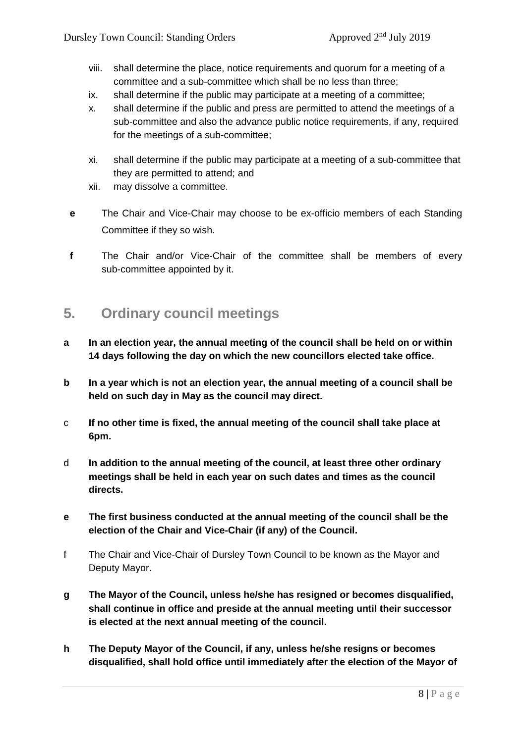- viii. shall determine the place, notice requirements and quorum for a meeting of a committee and a sub-committee which shall be no less than three;
- ix. shall determine if the public may participate at a meeting of a committee;
- x. shall determine if the public and press are permitted to attend the meetings of a sub-committee and also the advance public notice requirements, if any, required for the meetings of a sub-committee;
- xi. shall determine if the public may participate at a meeting of a sub-committee that they are permitted to attend; and
- xii. may dissolve a committee.
- **e** The Chair and Vice-Chair may choose to be ex-officio members of each Standing Committee if they so wish.
- **f** The Chair and/or Vice-Chair of the committee shall be members of every sub-committee appointed by it.

## **5. Ordinary council meetings**

- **a In an election year, the annual meeting of the council shall be held on or within 14 days following the day on which the new councillors elected take office.**
- **b In a year which is not an election year, the annual meeting of a council shall be held on such day in May as the council may direct.**
- c **If no other time is fixed, the annual meeting of the council shall take place at 6pm.**
- d **In addition to the annual meeting of the council, at least three other ordinary meetings shall be held in each year on such dates and times as the council directs.**
- **e The first business conducted at the annual meeting of the council shall be the election of the Chair and Vice-Chair (if any) of the Council.**
- f The Chair and Vice-Chair of Dursley Town Council to be known as the Mayor and Deputy Mayor.
- **g The Mayor of the Council, unless he/she has resigned or becomes disqualified, shall continue in office and preside at the annual meeting until their successor is elected at the next annual meeting of the council.**
- **h The Deputy Mayor of the Council, if any, unless he/she resigns or becomes disqualified, shall hold office until immediately after the election of the Mayor of**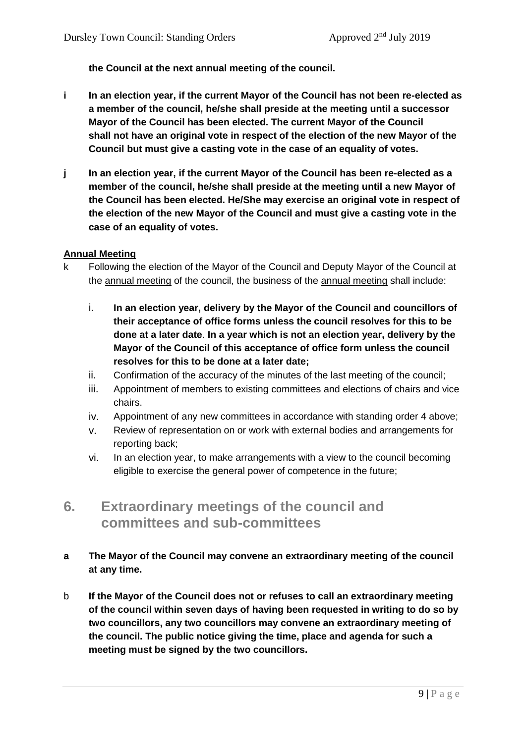**the Council at the next annual meeting of the council.**

- **i In an election year, if the current Mayor of the Council has not been re-elected as a member of the council, he/she shall preside at the meeting until a successor Mayor of the Council has been elected. The current Mayor of the Council shall not have an original vote in respect of the election of the new Mayor of the Council but must give a casting vote in the case of an equality of votes.**
- **j In an election year, if the current Mayor of the Council has been re-elected as a member of the council, he/she shall preside at the meeting until a new Mayor of the Council has been elected. He/She may exercise an original vote in respect of the election of the new Mayor of the Council and must give a casting vote in the case of an equality of votes.**

#### **Annual Meeting**

- k Following the election of the Mayor of the Council and Deputy Mayor of the Council at the annual meeting of the council, the business of the annual meeting shall include:
	- i. **In an election year, delivery by the Mayor of the Council and councillors of their acceptance of office forms unless the council resolves for this to be done at a later date**. **In a year which is not an election year, delivery by the Mayor of the Council of this acceptance of office form unless the council resolves for this to be done at a later date;**
	- ii. Confirmation of the accuracy of the minutes of the last meeting of the council;
	- iii. Appointment of members to existing committees and elections of chairs and vice chairs.
	- iv. Appointment of any new committees in accordance with standing order 4 above;
	- v. Review of representation on or work with external bodies and arrangements for reporting back;
	- vi. In an election year, to make arrangements with a view to the council becoming eligible to exercise the general power of competence in the future;
- **6. Extraordinary meetings of the council and committees and sub-committees**
- **a The Mayor of the Council may convene an extraordinary meeting of the council at any time.**
- b **If the Mayor of the Council does not or refuses to call an extraordinary meeting of the council within seven days of having been requested in writing to do so by two councillors, any two councillors may convene an extraordinary meeting of the council. The public notice giving the time, place and agenda for such a meeting must be signed by the two councillors.**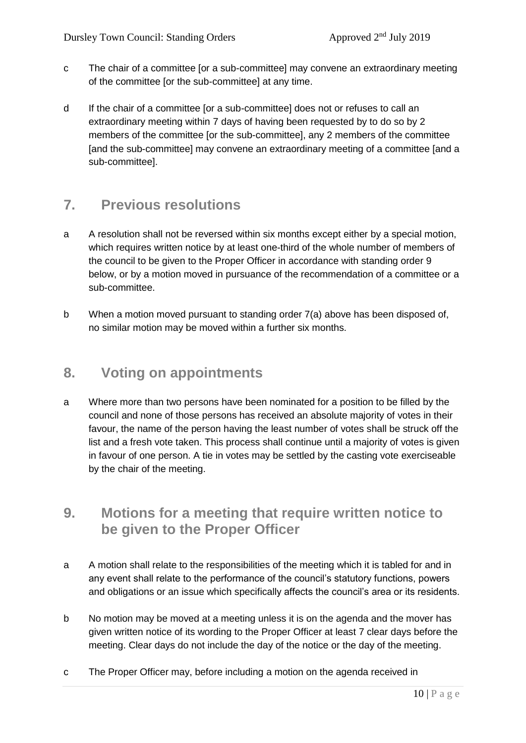- c The chair of a committee [or a sub-committee] may convene an extraordinary meeting of the committee [or the sub-committee] at any time.
- d If the chair of a committee [or a sub-committee] does not or refuses to call an extraordinary meeting within 7 days of having been requested by to do so by 2 members of the committee [or the sub-committee], any 2 members of the committee [and the sub-committee] may convene an extraordinary meeting of a committee [and a sub-committee].

## **7. Previous resolutions**

- a A resolution shall not be reversed within six months except either by a special motion, which requires written notice by at least one-third of the whole number of members of the council to be given to the Proper Officer in accordance with standing order 9 below, or by a motion moved in pursuance of the recommendation of a committee or a sub-committee.
- b When a motion moved pursuant to standing order 7(a) above has been disposed of, no similar motion may be moved within a further six months.

## **8. Voting on appointments**

a Where more than two persons have been nominated for a position to be filled by the council and none of those persons has received an absolute majority of votes in their favour, the name of the person having the least number of votes shall be struck off the list and a fresh vote taken. This process shall continue until a majority of votes is given in favour of one person. A tie in votes may be settled by the casting vote exerciseable by the chair of the meeting.

## **9. Motions for a meeting that require written notice to be given to the Proper Officer**

- a A motion shall relate to the responsibilities of the meeting which it is tabled for and in any event shall relate to the performance of the council's statutory functions, powers and obligations or an issue which specifically affects the council's area or its residents.
- b No motion may be moved at a meeting unless it is on the agenda and the mover has given written notice of its wording to the Proper Officer at least 7 clear days before the meeting. Clear days do not include the day of the notice or the day of the meeting.
- c The Proper Officer may, before including a motion on the agenda received in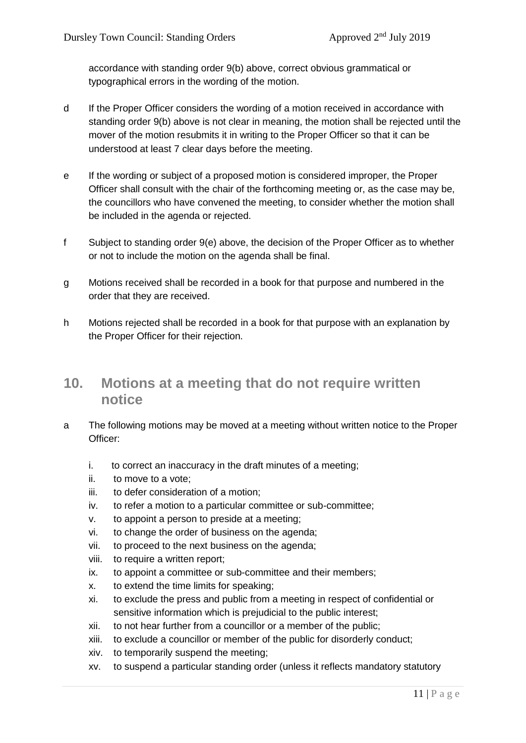accordance with standing order 9(b) above, correct obvious grammatical or typographical errors in the wording of the motion.

- d If the Proper Officer considers the wording of a motion received in accordance with standing order 9(b) above is not clear in meaning, the motion shall be rejected until the mover of the motion resubmits it in writing to the Proper Officer so that it can be understood at least 7 clear days before the meeting.
- e If the wording or subject of a proposed motion is considered improper, the Proper Officer shall consult with the chair of the forthcoming meeting or, as the case may be, the councillors who have convened the meeting, to consider whether the motion shall be included in the agenda or rejected.
- f Subject to standing order 9(e) above, the decision of the Proper Officer as to whether or not to include the motion on the agenda shall be final.
- g Motions received shall be recorded in a book for that purpose and numbered in the order that they are received.
- h Motions rejected shall be recorded in a book for that purpose with an explanation by the Proper Officer for their rejection.

## **10. Motions at a meeting that do not require written notice**

- a The following motions may be moved at a meeting without written notice to the Proper Officer:
	- i. to correct an inaccuracy in the draft minutes of a meeting;
	- ii. to move to a vote;
	- iii. to defer consideration of a motion;
	- iv. to refer a motion to a particular committee or sub-committee;
	- v. to appoint a person to preside at a meeting;
	- vi. to change the order of business on the agenda;
	- vii. to proceed to the next business on the agenda;
	- viii. to require a written report;
	- ix. to appoint a committee or sub-committee and their members;
	- x. to extend the time limits for speaking;
	- xi. to exclude the press and public from a meeting in respect of confidential or sensitive information which is prejudicial to the public interest;
	- xii. to not hear further from a councillor or a member of the public;
	- xiii. to exclude a councillor or member of the public for disorderly conduct;
	- xiv. to temporarily suspend the meeting;
	- xv. to suspend a particular standing order (unless it reflects mandatory statutory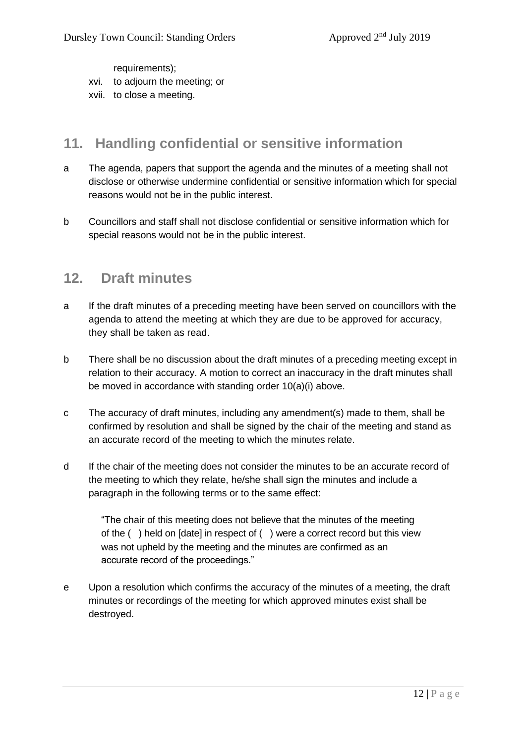requirements);

- xvi. to adjourn the meeting; or
- xvii. to close a meeting.

### **11. Handling confidential or sensitive information**

- a The agenda, papers that support the agenda and the minutes of a meeting shall not disclose or otherwise undermine confidential or sensitive information which for special reasons would not be in the public interest.
- b Councillors and staff shall not disclose confidential or sensitive information which for special reasons would not be in the public interest.

### **12. Draft minutes**

- a If the draft minutes of a preceding meeting have been served on councillors with the agenda to attend the meeting at which they are due to be approved for accuracy, they shall be taken as read.
- b There shall be no discussion about the draft minutes of a preceding meeting except in relation to their accuracy. A motion to correct an inaccuracy in the draft minutes shall be moved in accordance with standing order 10(a)(i) above.
- c The accuracy of draft minutes, including any amendment(s) made to them, shall be confirmed by resolution and shall be signed by the chair of the meeting and stand as an accurate record of the meeting to which the minutes relate.
- d If the chair of the meeting does not consider the minutes to be an accurate record of the meeting to which they relate, he/she shall sign the minutes and include a paragraph in the following terms or to the same effect:

"The chair of this meeting does not believe that the minutes of the meeting of the ( ) held on [date] in respect of ( ) were a correct record but this view was not upheld by the meeting and the minutes are confirmed as an accurate record of the proceedings."

e Upon a resolution which confirms the accuracy of the minutes of a meeting, the draft minutes or recordings of the meeting for which approved minutes exist shall be destroyed.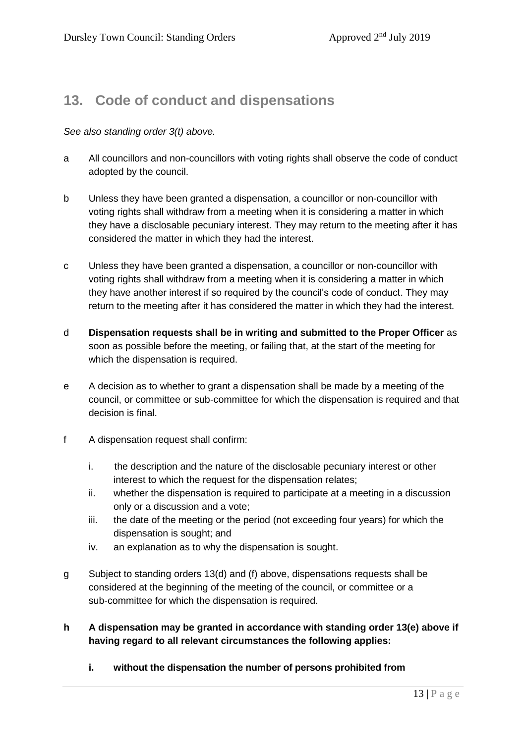## **13. Code of conduct and dispensations**

#### *See also standing order 3(t) above.*

- a All councillors and non-councillors with voting rights shall observe the code of conduct adopted by the council.
- b Unless they have been granted a dispensation, a councillor or non-councillor with voting rights shall withdraw from a meeting when it is considering a matter in which they have a disclosable pecuniary interest. They may return to the meeting after it has considered the matter in which they had the interest.
- c Unless they have been granted a dispensation, a councillor or non-councillor with voting rights shall withdraw from a meeting when it is considering a matter in which they have another interest if so required by the council's code of conduct. They may return to the meeting after it has considered the matter in which they had the interest.
- d **Dispensation requests shall be in writing and submitted to the Proper Officer** as soon as possible before the meeting, or failing that, at the start of the meeting for which the dispensation is required.
- e A decision as to whether to grant a dispensation shall be made by a meeting of the council, or committee or sub-committee for which the dispensation is required and that decision is final.
- f A dispensation request shall confirm:
	- i. the description and the nature of the disclosable pecuniary interest or other interest to which the request for the dispensation relates;
	- ii. whether the dispensation is required to participate at a meeting in a discussion only or a discussion and a vote;
	- iii. the date of the meeting or the period (not exceeding four years) for which the dispensation is sought; and
	- iv. an explanation as to why the dispensation is sought.
- g Subject to standing orders 13(d) and (f) above, dispensations requests shall be considered at the beginning of the meeting of the council, or committee or a sub-committee for which the dispensation is required.
- **h A dispensation may be granted in accordance with standing order 13(e) above if having regard to all relevant circumstances the following applies:**
	- **i. without the dispensation the number of persons prohibited from**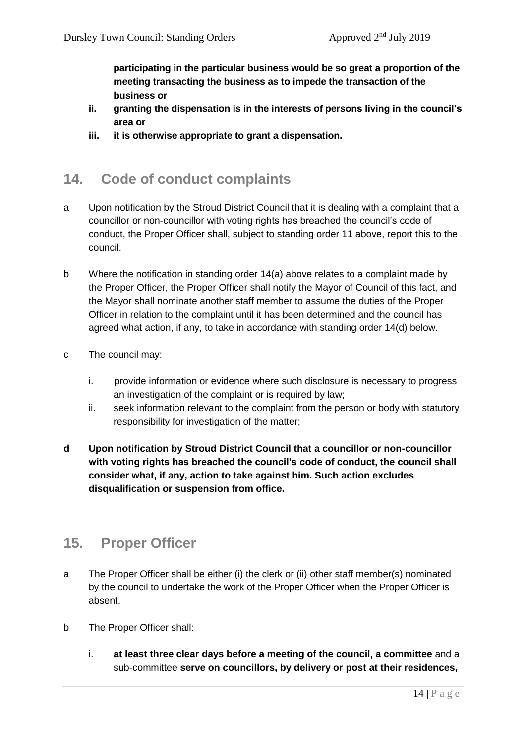**participating in the particular business would be so great a proportion of the meeting transacting the business as to impede the transaction of the business or**

- **ii. granting the dispensation is in the interests of persons living in the council's area or**
- **iii. it is otherwise appropriate to grant a dispensation.**

## **14. Code of conduct complaints**

- a Upon notification by the Stroud District Council that it is dealing with a complaint that a councillor or non-councillor with voting rights has breached the council's code of conduct, the Proper Officer shall, subject to standing order 11 above, report this to the council.
- b Where the notification in standing order 14(a) above relates to a complaint made by the Proper Officer, the Proper Officer shall notify the Mayor of Council of this fact, and the Mayor shall nominate another staff member to assume the duties of the Proper Officer in relation to the complaint until it has been determined and the council has agreed what action, if any, to take in accordance with standing order 14(d) below.
- c The council may:
	- i. provide information or evidence where such disclosure is necessary to progress an investigation of the complaint or is required by law;
	- ii. seek information relevant to the complaint from the person or body with statutory responsibility for investigation of the matter;
- **d Upon notification by Stroud District Council that a councillor or non-councillor with voting rights has breached the council's code of conduct, the council shall consider what, if any, action to take against him. Such action excludes disqualification or suspension from office.**

## **15. Proper Officer**

- a The Proper Officer shall be either (i) the clerk or (ii) other staff member(s) nominated by the council to undertake the work of the Proper Officer when the Proper Officer is absent.
- b The Proper Officer shall:
	- i. **at least three clear days before a meeting of the council, a committee** and a sub-committee **serve on councillors, by delivery or post at their residences,**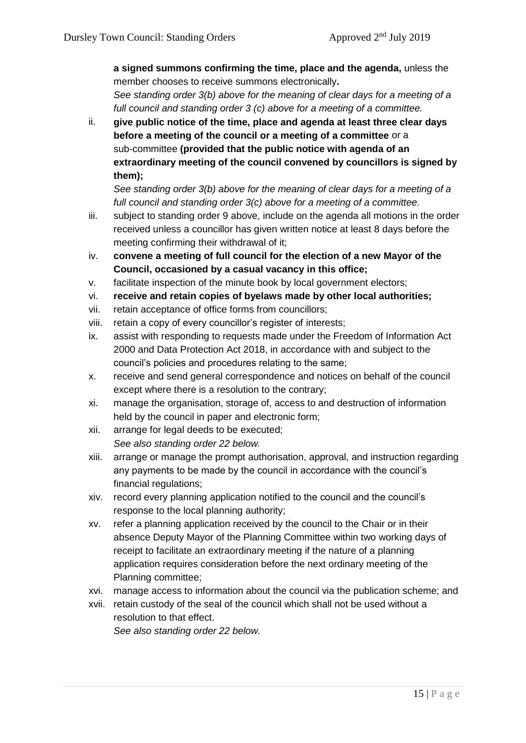**a signed summons confirming the time, place and the agenda,** unless the member chooses to receive summons electronically**.** 

*See standing order 3(b) above for the meaning of clear days for a meeting of a full council and standing order 3 (c) above for a meeting of a committee.*

ii. **give public notice of the time, place and agenda at least three clear days before a meeting of the council or a meeting of a committee** or a sub-committee **(provided that the public notice with agenda of an extraordinary meeting of the council convened by councillors is signed by them);**

*See standing order 3(b) above for the meaning of clear days for a meeting of a full council and standing order 3(c) above for a meeting of a committee.*

- iii. subject to standing order 9 above, include on the agenda all motions in the order received unless a councillor has given written notice at least 8 days before the meeting confirming their withdrawal of it;
- iv. **convene a meeting of full council for the election of a new Mayor of the Council, occasioned by a casual vacancy in this office;**
- v. facilitate inspection of the minute book by local government electors;
- vi. **receive and retain copies of byelaws made by other local authorities;**
- vii. retain acceptance of office forms from councillors;
- viii. retain a copy of every councillor's register of interests;
- ix. assist with responding to requests made under the Freedom of Information Act 2000 and Data Protection Act 2018, in accordance with and subject to the council's policies and procedures relating to the same;
- x. receive and send general correspondence and notices on behalf of the council except where there is a resolution to the contrary;
- xi. manage the organisation, storage of, access to and destruction of information held by the council in paper and electronic form;
- xii. arrange for legal deeds to be executed; *See also standing order 22 below.*
- xiii. arrange or manage the prompt authorisation, approval, and instruction regarding any payments to be made by the council in accordance with the council's financial regulations;
- xiv. record every planning application notified to the council and the council's response to the local planning authority;
- xv. refer a planning application received by the council to the Chair or in their absence Deputy Mayor of the Planning Committee within two working days of receipt to facilitate an extraordinary meeting if the nature of a planning application requires consideration before the next ordinary meeting of the Planning committee;
- xvi. manage access to information about the council via the publication scheme; and
- xvii. retain custody of the seal of the council which shall not be used without a resolution to that effect.

*See also standing order 22 below.*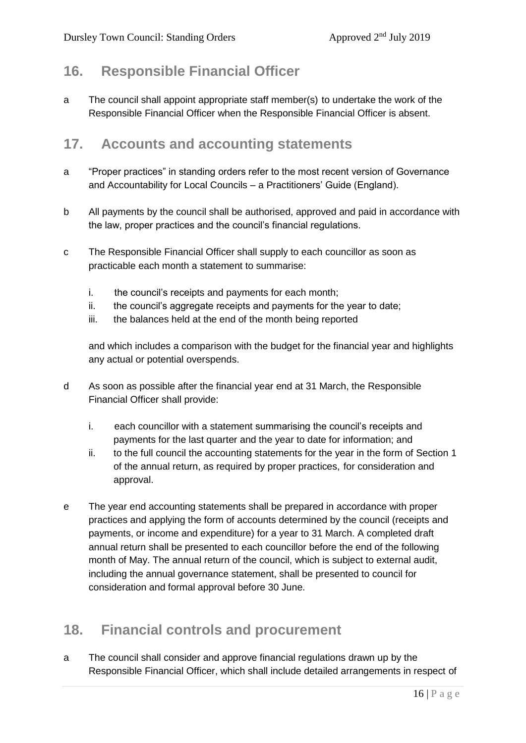## **16. Responsible Financial Officer**

a The council shall appoint appropriate staff member(s) to undertake the work of the Responsible Financial Officer when the Responsible Financial Officer is absent.

## **17. Accounts and accounting statements**

- a "Proper practices" in standing orders refer to the most recent version of Governance and Accountability for Local Councils – a Practitioners' Guide (England).
- b All payments by the council shall be authorised, approved and paid in accordance with the law, proper practices and the council's financial regulations.
- c The Responsible Financial Officer shall supply to each councillor as soon as practicable each month a statement to summarise:
	- i. the council's receipts and payments for each month;
	- ii. the council's aggregate receipts and payments for the year to date;
	- iii. the balances held at the end of the month being reported

and which includes a comparison with the budget for the financial year and highlights any actual or potential overspends.

- d As soon as possible after the financial year end at 31 March, the Responsible Financial Officer shall provide:
	- i. each councillor with a statement summarising the council's receipts and payments for the last quarter and the year to date for information; and
	- ii. to the full council the accounting statements for the year in the form of Section 1 of the annual return, as required by proper practices, for consideration and approval.
- e The year end accounting statements shall be prepared in accordance with proper practices and applying the form of accounts determined by the council (receipts and payments, or income and expenditure) for a year to 31 March. A completed draft annual return shall be presented to each councillor before the end of the following month of May. The annual return of the council, which is subject to external audit, including the annual governance statement, shall be presented to council for consideration and formal approval before 30 June.

## **18. Financial controls and procurement**

a The council shall consider and approve financial regulations drawn up by the Responsible Financial Officer, which shall include detailed arrangements in respect of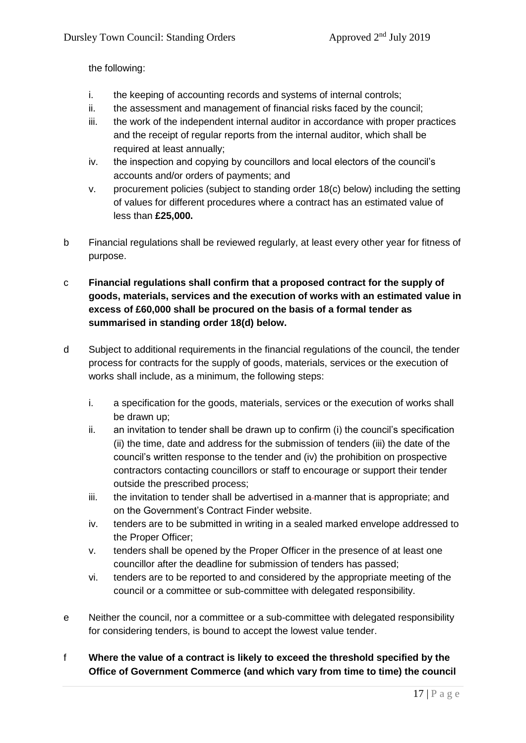the following:

- i. the keeping of accounting records and systems of internal controls;
- ii. the assessment and management of financial risks faced by the council;
- iii. the work of the independent internal auditor in accordance with proper practices and the receipt of regular reports from the internal auditor, which shall be required at least annually;
- iv. the inspection and copying by councillors and local electors of the council's accounts and/or orders of payments; and
- v. procurement policies (subject to standing order 18(c) below) including the setting of values for different procedures where a contract has an estimated value of less than **£25,000.**
- b Financial regulations shall be reviewed regularly, at least every other year for fitness of purpose.
- c **Financial regulations shall confirm that a proposed contract for the supply of goods, materials, services and the execution of works with an estimated value in excess of £60,000 shall be procured on the basis of a formal tender as summarised in standing order 18(d) below.**
- d Subject to additional requirements in the financial regulations of the council, the tender process for contracts for the supply of goods, materials, services or the execution of works shall include, as a minimum, the following steps:
	- i. a specification for the goods, materials, services or the execution of works shall be drawn up;
	- ii. an invitation to tender shall be drawn up to confirm (i) the council's specification (ii) the time, date and address for the submission of tenders (iii) the date of the council's written response to the tender and (iv) the prohibition on prospective contractors contacting councillors or staff to encourage or support their tender outside the prescribed process;
	- iii. the invitation to tender shall be advertised in a-manner that is appropriate; and on the Government's Contract Finder website.
	- iv. tenders are to be submitted in writing in a sealed marked envelope addressed to the Proper Officer;
	- v. tenders shall be opened by the Proper Officer in the presence of at least one councillor after the deadline for submission of tenders has passed;
	- vi. tenders are to be reported to and considered by the appropriate meeting of the council or a committee or sub-committee with delegated responsibility.
- e Neither the council, nor a committee or a sub-committee with delegated responsibility for considering tenders, is bound to accept the lowest value tender.
- f **Where the value of a contract is likely to exceed the threshold specified by the Office of Government Commerce (and which vary from time to time) the council**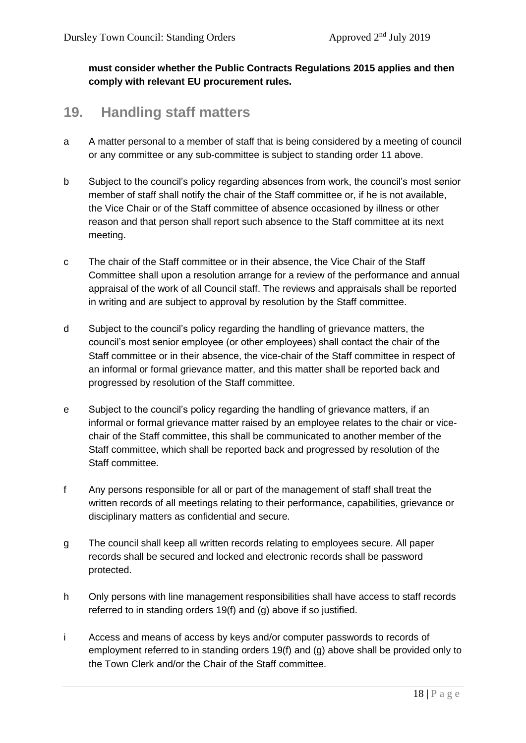**must consider whether the Public Contracts Regulations 2015 applies and then comply with relevant EU procurement rules.**

### **19. Handling staff matters**

- a A matter personal to a member of staff that is being considered by a meeting of council or any committee or any sub-committee is subject to standing order 11 above.
- b Subject to the council's policy regarding absences from work, the council's most senior member of staff shall notify the chair of the Staff committee or, if he is not available, the Vice Chair or of the Staff committee of absence occasioned by illness or other reason and that person shall report such absence to the Staff committee at its next meeting.
- c The chair of the Staff committee or in their absence, the Vice Chair of the Staff Committee shall upon a resolution arrange for a review of the performance and annual appraisal of the work of all Council staff. The reviews and appraisals shall be reported in writing and are subject to approval by resolution by the Staff committee.
- d Subject to the council's policy regarding the handling of grievance matters, the council's most senior employee (or other employees) shall contact the chair of the Staff committee or in their absence, the vice-chair of the Staff committee in respect of an informal or formal grievance matter, and this matter shall be reported back and progressed by resolution of the Staff committee.
- e Subject to the council's policy regarding the handling of grievance matters, if an informal or formal grievance matter raised by an employee relates to the chair or vicechair of the Staff committee, this shall be communicated to another member of the Staff committee, which shall be reported back and progressed by resolution of the Staff committee.
- f Any persons responsible for all or part of the management of staff shall treat the written records of all meetings relating to their performance, capabilities, grievance or disciplinary matters as confidential and secure.
- g The council shall keep all written records relating to employees secure. All paper records shall be secured and locked and electronic records shall be password protected.
- h Only persons with line management responsibilities shall have access to staff records referred to in standing orders 19(f) and (g) above if so justified.
- i Access and means of access by keys and/or computer passwords to records of employment referred to in standing orders 19(f) and (g) above shall be provided only to the Town Clerk and/or the Chair of the Staff committee.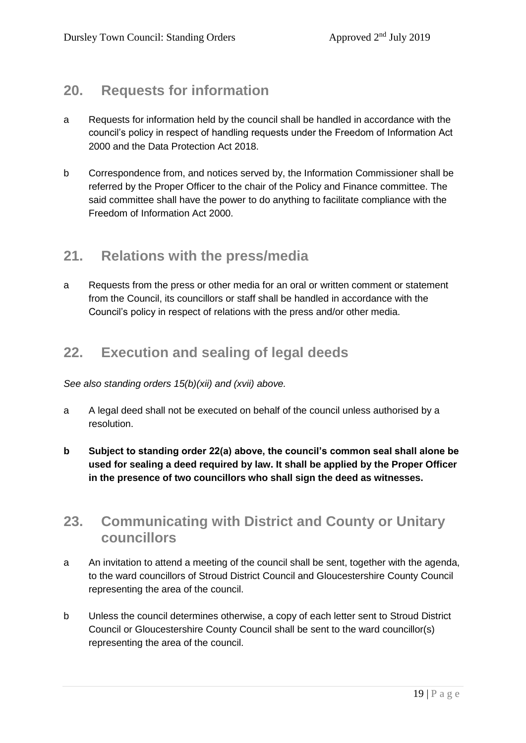## **20. Requests for information**

- a Requests for information held by the council shall be handled in accordance with the council's policy in respect of handling requests under the Freedom of Information Act 2000 and the Data Protection Act 2018.
- b Correspondence from, and notices served by, the Information Commissioner shall be referred by the Proper Officer to the chair of the Policy and Finance committee. The said committee shall have the power to do anything to facilitate compliance with the Freedom of Information Act 2000.

## **21. Relations with the press/media**

a Requests from the press or other media for an oral or written comment or statement from the Council, its councillors or staff shall be handled in accordance with the Council's policy in respect of relations with the press and/or other media.

## **22. Execution and sealing of legal deeds**

*See also standing orders 15(b)(xii) and (xvii) above.*

- a A legal deed shall not be executed on behalf of the council unless authorised by a resolution.
- **b Subject to standing order 22(a) above, the council's common seal shall alone be used for sealing a deed required by law. It shall be applied by the Proper Officer in the presence of two councillors who shall sign the deed as witnesses.**

## **23. Communicating with District and County or Unitary councillors**

- a An invitation to attend a meeting of the council shall be sent, together with the agenda, to the ward councillors of Stroud District Council and Gloucestershire County Council representing the area of the council.
- b Unless the council determines otherwise, a copy of each letter sent to Stroud District Council or Gloucestershire County Council shall be sent to the ward councillor(s) representing the area of the council.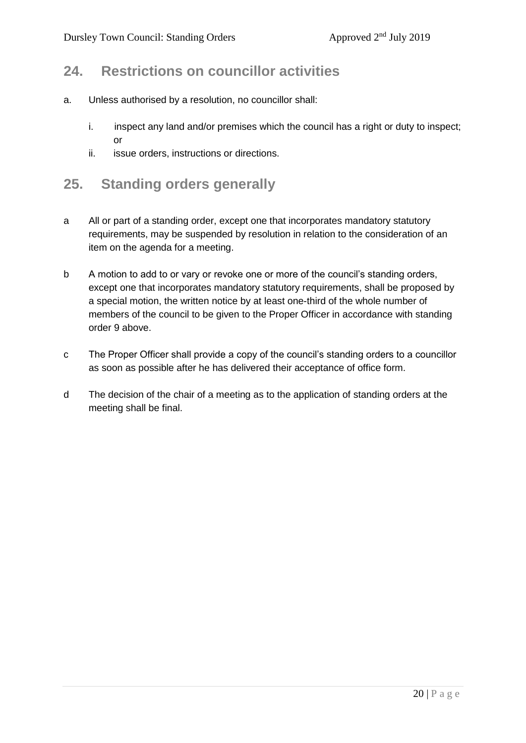## **24. Restrictions on councillor activities**

- a. Unless authorised by a resolution, no councillor shall:
	- i. inspect any land and/or premises which the council has a right or duty to inspect; or
	- ii. issue orders, instructions or directions.

### **25. Standing orders generally**

- a All or part of a standing order, except one that incorporates mandatory statutory requirements, may be suspended by resolution in relation to the consideration of an item on the agenda for a meeting.
- b A motion to add to or vary or revoke one or more of the council's standing orders, except one that incorporates mandatory statutory requirements, shall be proposed by a special motion, the written notice by at least one-third of the whole number of members of the council to be given to the Proper Officer in accordance with standing order 9 above.
- c The Proper Officer shall provide a copy of the council's standing orders to a councillor as soon as possible after he has delivered their acceptance of office form.
- d The decision of the chair of a meeting as to the application of standing orders at the meeting shall be final.